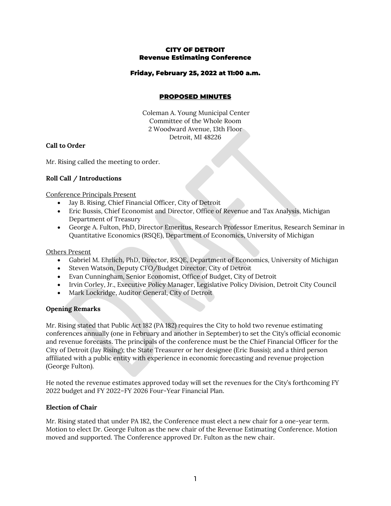### CITY OF DETROIT Revenue Estimating Conference

# Friday, February 25, 2022 at 11:00 a.m.

# PROPOSED MINUTES

Coleman A. Young Municipal Center Committee of the Whole Room 2 Woodward Avenue, 13th Floor Detroit, MI 48226

#### **Call to Order**

Mr. Rising called the meeting to order.

# **Roll Call / Introductions**

Conference Principals Present

- Jay B. Rising, Chief Financial Officer, City of Detroit
- Eric Bussis, Chief Economist and Director, Office of Revenue and Tax Analysis, Michigan Department of Treasury
- George A. Fulton, PhD, Director Emeritus, Research Professor Emeritus, Research Seminar in Quantitative Economics (RSQE), Department of Economics, University of Michigan

Others Present

- Gabriel M. Ehrlich, PhD, Director, RSQE, Department of Economics, University of Michigan
- Steven Watson, Deputy CFO/Budget Director, City of Detroit
- Evan Cunningham, Senior Economist, Office of Budget, City of Detroit
- Irvin Corley, Jr., Executive Policy Manager, Legislative Policy Division, Detroit City Council
- Mark Lockridge, Auditor General, City of Detroit

#### **Opening Remarks**

Mr. Rising stated that Public Act 182 (PA 182) requires the City to hold two revenue estimating conferences annually (one in February and another in September) to set the City's official economic and revenue forecasts. The principals of the conference must be the Chief Financial Officer for the City of Detroit (Jay Rising); the State Treasurer or her designee (Eric Bussis); and a third person affiliated with a public entity with experience in economic forecasting and revenue projection (George Fulton).

He noted the revenue estimates approved today will set the revenues for the City's forthcoming FY 2022 budget and FY 2022–FY 2026 Four-Year Financial Plan.

#### **Election of Chair**

Mr. Rising stated that under PA 182, the Conference must elect a new chair for a one-year term. Motion to elect Dr. George Fulton as the new chair of the Revenue Estimating Conference. Motion moved and supported. The Conference approved Dr. Fulton as the new chair.